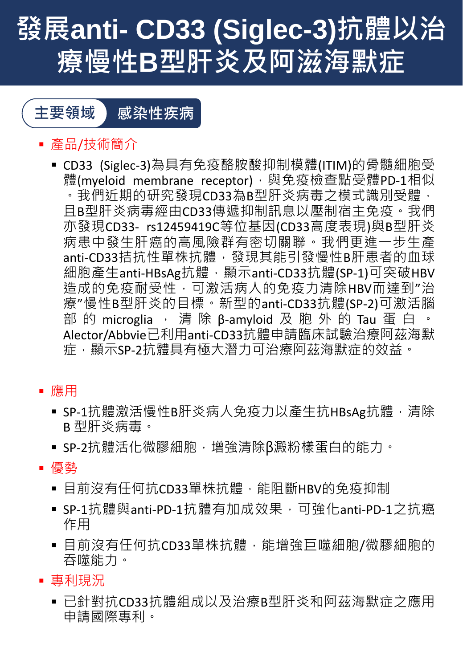# **發展anti- CD33 (Siglec-3)抗體以治 療慢性B型肝炎及阿滋海默症**



- 產品/技術簡介
	- CD33 (Siglec-3)為具有免疫酪胺酸抑制模體(ITIM)的骨髓細胞受 體(myeloid membrane receptor),與免疫檢查點受體PD-1相似 。我們近期的研究發現CD33為B型肝炎病毒之模式識別受體, 且B型肝炎病毒經由CD33傳遞抑制訊息以壓制宿主免疫。我們 亦發現CD33- rs12459419C等位基因(CD33高度表現)與B型肝炎 病患中發生肝癌的高風險群有密切關聯。我們更進一步生產 anti-CD33拮抗性單株抗體,發現其能引發慢性B肝患者的血球 細胞產生anti-HBsAg抗體,顯示anti-CD33抗體(SP-1)可突破HBV 造成的免疫耐受性,可激活病人的免疫力清除HBV而達到"治 療"慢性B型肝炎的目標。新型的anti-CD33抗體(SP-2)可激活腦 部 的 microglia · 清除 β-amyloid 及 胞 外 的 Tau 蛋 白 · Alector/Abbvie已利用anti-CD33抗體申請臨床試驗治療阿茲海默 症,顯示SP-2抗體具有極大潛力可治療阿茲海默症的效益。
- 應用
	- SP-1抗體激活慢性B肝炎病人免疫力以產生抗HBsAg抗體, 清除 B 型肝炎病毒。
	- SP-2抗體活化微膠細胞, 增強清除β澱粉樣蛋白的能力。
- 優勢
	- 目前沒有任何抗CD33單株抗體, 能阻斷HBV的免疫抑制
	- SP-1抗體與anti-PD-1抗體有加成效果,可強化anti-PD-1之抗癌 作用
	- 目前沒有任何抗CD33單株抗體, 能增強巨噬細胞/微膠細胞的 吞噬能力。
- 專利現況
	- 已針對抗CD33抗體組成以及治療B型肝炎和阿茲海默症之應用 申請國際專利。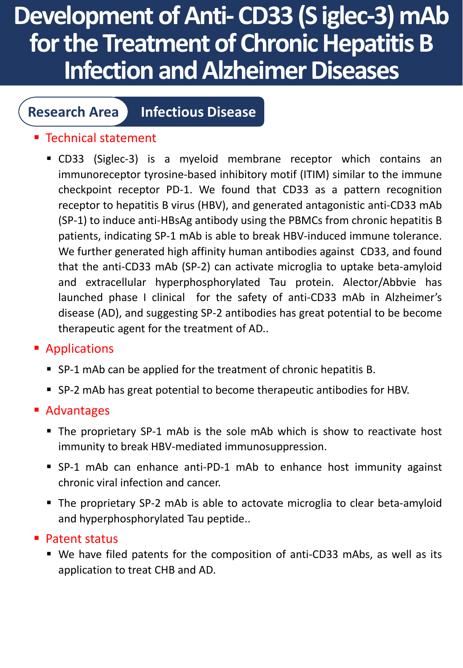# **Development of Anti-CD33 (S iglec-3) mAb for the Treatment of Chronic Hepatitis B Infection and Alzheimer Diseases**

### **Research Area Infectious Disease**

### ■ Technical statement

▪ CD33 (Siglec-3) is a myeloid membrane receptor which contains an immunoreceptor tyrosine-based inhibitory motif (ITIM) similar to the immune checkpoint receptor PD-1. We found that CD33 as a pattern recognition receptor to hepatitis B virus (HBV), and generated antagonistic anti-CD33 mAb (SP-1) to induce anti-HBsAg antibody using the PBMCs from chronic hepatitis B patients, indicating SP-1 mAb is able to break HBV-induced immune tolerance. We further generated high affinity human antibodies against CD33, and found that the anti-CD33 mAb (SP-2) can activate microglia to uptake beta-amyloid and extracellular hyperphosphorylated Tau protein. Alector/Abbvie has launched phase I clinical for the safety of anti-CD33 mAb in Alzheimer's disease (AD), and suggesting SP-2 antibodies has great potential to be become therapeutic agent for the treatment of AD..

#### ■ Applications

- SP-1 mAb can be applied for the treatment of chronic hepatitis B.
- SP-2 mAb has great potential to become therapeutic antibodies for HBV.

#### ■ Advantages

- The proprietary SP-1 mAb is the sole mAb which is show to reactivate host immunity to break HBV-mediated immunosuppression.
- SP-1 mAb can enhance anti-PD-1 mAb to enhance host immunity against chronic viral infection and cancer.
- The proprietary SP-2 mAb is able to actovate microglia to clear beta-amyloid and hyperphosphorylated Tau peptide..

#### ■ Patent status

■ We have filed patents for the composition of anti-CD33 mAbs, as well as its application to treat CHB and AD.